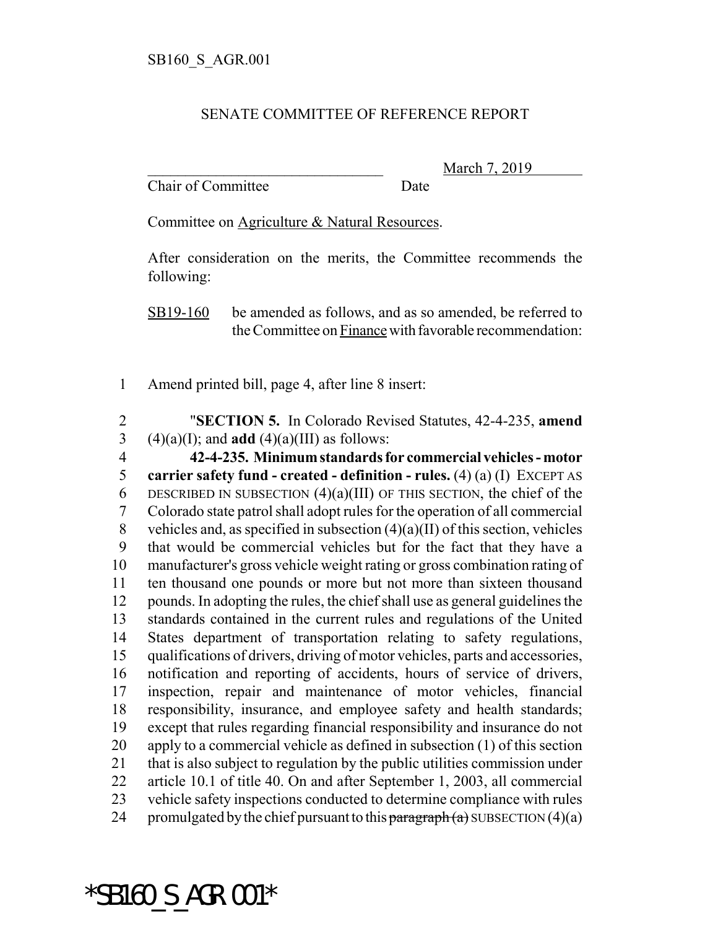## SENATE COMMITTEE OF REFERENCE REPORT

Chair of Committee Date

March 7, 2019

Committee on Agriculture & Natural Resources.

After consideration on the merits, the Committee recommends the following:

SB19-160 be amended as follows, and as so amended, be referred to the Committee on Finance with favorable recommendation:

1 Amend printed bill, page 4, after line 8 insert:

2 "**SECTION 5.** In Colorado Revised Statutes, 42-4-235, **amend** 3 (4)(a)(I); and **add** (4)(a)(III) as follows:

 **42-4-235. Minimum standards for commercial vehicles - motor carrier safety fund - created - definition - rules.** (4) (a) (I) EXCEPT AS 6 DESCRIBED IN SUBSECTION  $(4)(a)(III)$  OF THIS SECTION, the chief of the Colorado state patrol shall adopt rules for the operation of all commercial 8 vehicles and, as specified in subsection  $(4)(a)(II)$  of this section, vehicles that would be commercial vehicles but for the fact that they have a manufacturer's gross vehicle weight rating or gross combination rating of ten thousand one pounds or more but not more than sixteen thousand pounds. In adopting the rules, the chief shall use as general guidelines the standards contained in the current rules and regulations of the United States department of transportation relating to safety regulations, qualifications of drivers, driving of motor vehicles, parts and accessories, notification and reporting of accidents, hours of service of drivers, inspection, repair and maintenance of motor vehicles, financial responsibility, insurance, and employee safety and health standards; except that rules regarding financial responsibility and insurance do not apply to a commercial vehicle as defined in subsection (1) of this section that is also subject to regulation by the public utilities commission under article 10.1 of title 40. On and after September 1, 2003, all commercial vehicle safety inspections conducted to determine compliance with rules 24 promulgated by the chief pursuant to this  $\frac{\partial^2 f}{\partial x^2}$  by DUBSECTION (4)(a)

\*SB160\_S\_AGR.001\*